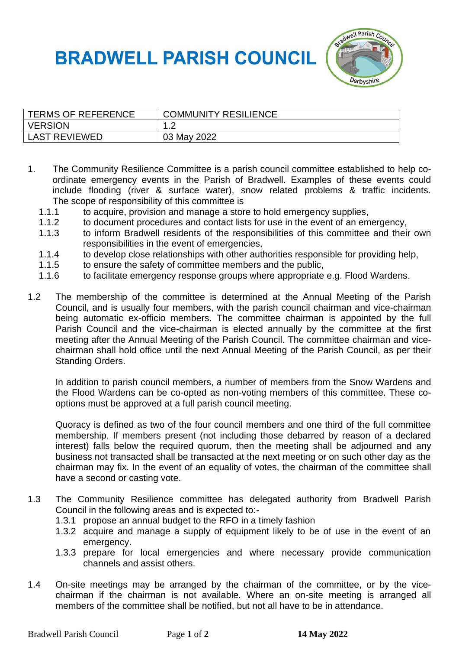## **BRADWELL PARISH COUNCIL**



| <b>TERMS OF REFERENCE</b> | <b>COMMUNITY RESILIENCE</b> |
|---------------------------|-----------------------------|
| <b>VERSION</b>            | $\sim$                      |
| <b>LAST REVIEWED</b>      | 03 May 2022                 |

- 1. The Community Resilience Committee is a parish council committee established to help coordinate emergency events in the Parish of Bradwell. Examples of these events could include flooding (river & surface water), snow related problems & traffic incidents. The scope of responsibility of this committee is
	- 1.1.1 to acquire, provision and manage a store to hold emergency supplies,
	- 1.1.2 to document procedures and contact lists for use in the event of an emergency,
	- 1.1.3 to inform Bradwell residents of the responsibilities of this committee and their own responsibilities in the event of emergencies,
	- 1.1.4 to develop close relationships with other authorities responsible for providing help,
	- 1.1.5 to ensure the safety of committee members and the public,
	- 1.1.6 to facilitate emergency response groups where appropriate e.g. Flood Wardens.
- 1.2 The membership of the committee is determined at the Annual Meeting of the Parish Council, and is usually four members, with the parish council chairman and vice-chairman being automatic ex-officio members. The committee chairman is appointed by the full Parish Council and the vice-chairman is elected annually by the committee at the first meeting after the Annual Meeting of the Parish Council. The committee chairman and vicechairman shall hold office until the next Annual Meeting of the Parish Council, as per their Standing Orders.

In addition to parish council members, a number of members from the Snow Wardens and the Flood Wardens can be co-opted as non-voting members of this committee. These cooptions must be approved at a full parish council meeting.

Quoracy is defined as two of the four council members and one third of the full committee membership. If members present (not including those debarred by reason of a declared interest) falls below the required quorum, then the meeting shall be adjourned and any business not transacted shall be transacted at the next meeting or on such other day as the chairman may fix. In the event of an equality of votes, the chairman of the committee shall have a second or casting vote.

- 1.3 The Community Resilience committee has delegated authority from Bradwell Parish Council in the following areas and is expected to:-
	- 1.3.1 propose an annual budget to the RFO in a timely fashion
	- 1.3.2 acquire and manage a supply of equipment likely to be of use in the event of an emergency.
	- 1.3.3 prepare for local emergencies and where necessary provide communication channels and assist others.
- 1.4 On-site meetings may be arranged by the chairman of the committee, or by the vicechairman if the chairman is not available. Where an on-site meeting is arranged all members of the committee shall be notified, but not all have to be in attendance.